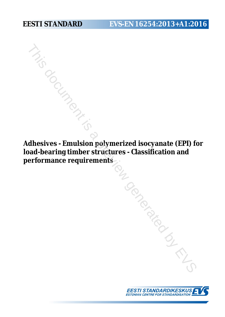# **EESTI STANDARD EVS-EN 16254:2013+A1:2016**

**Adhesives - Emulsion polymerized isocyanate (EPI) for load-bearing timber structures - Classification and performance requirements** TRING DRING IS A PLAN

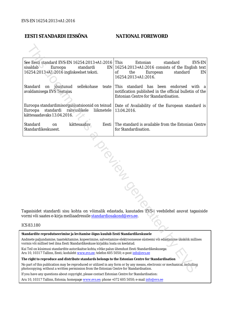### **EESTI STANDARDI EESSÕNA NATIONAL FOREWORD**

| See Eesti standard EVS-EN 16254:2013+A1:2016<br>sisaldab of<br>Euroopa<br>standardi<br>16254:2013+A1:2016 ingliskeelset teksti.                                                                | This<br>Estonian<br>standard<br>EVS-EN<br>$EN$   16254:2013+A1:2016 consists of the English text<br>0f<br>the<br>European<br>standard<br>EN<br>16254:2013+A1:2016. |
|------------------------------------------------------------------------------------------------------------------------------------------------------------------------------------------------|--------------------------------------------------------------------------------------------------------------------------------------------------------------------|
| Standard<br>sellekohase<br>jõustunud<br>on<br>avaldamisega EVS Teatajas                                                                                                                        | teate This standard has been endorsed<br>with a<br>notification published in the official bulletin of the<br>Estonian Centre for Standardisation.                  |
| Euroopa standardimisorganisatsioonid on teinud<br>rahvuslikele<br>Euroopa<br>standardi<br>liikmetele<br>kättesaadavaks 13.04.2016.                                                             | Date of Availability of the European standard is<br>13.04.2016.                                                                                                    |
| Standard<br>kättesaadav<br>on<br>Standardikeskusest.                                                                                                                                           | The standard is available from the Estonian Centre<br>Eesti  <br>for Standardisation.                                                                              |
| vormi või saates e-kirja meiliaadressile <u>standardiosakond@evs.ee</u> .                                                                                                                      | Tagasisidet standardi sisu kohta on võimalik edastada, kasutades EVS-i veebilehel asuvat tagasiside                                                                |
| ICS 83.180                                                                                                                                                                                     |                                                                                                                                                                    |
| Standardite reprodutseerimise ja levitamise õigus kuulub Eesti Standardikeskusele                                                                                                              |                                                                                                                                                                    |
| vormis või millisel teel ilma Eesti Standardikeskuse kirjaliku loata on keelatud.                                                                                                              | Andmete paljundamine, taastekitamine, kopeerimine, salvestamine elektroonsesse süsteemi või edastamine ükskõik millises                                            |
| Kui Teil on küsimusi standardite autorikaitse kohta, võtke palun ühendust Eesti Standardikeskusega:<br>Aru 10, 10317 Tallinn, Eesti; koduleht www.evs.ee; telefon 605 5050; e-post info@evs.ee |                                                                                                                                                                    |
| The right to reproduce and distribute standards belongs to the Estonian Centre for Standardisation                                                                                             |                                                                                                                                                                    |
| photocopying, without a written permission from the Estonian Centre for Standardisation.                                                                                                       | No part of this publication may be reproduced or utilized in any form or by any means, electronic or mechanical, including                                         |
|                                                                                                                                                                                                |                                                                                                                                                                    |

### ICS 83.180

If you have any questions about copyright, please contact Estonian Centre for Standardisation:

Aru 10, 10317 Tallinn, Estonia; homepage [www.evs.ee](http://www.evs.ee/); phone +372 605 5050; e-mail info@evs.ee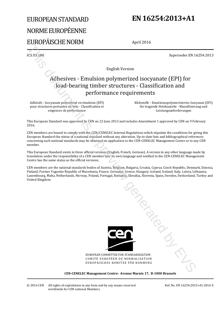# EUROPEAN STANDARD NORME EUROPÉENNE EUROPÄISCHE NORM

# **EN 16254:2013+A1**

April 2016

ICS 83.180 Supersedes EN 16254:2013

English Version

# Adhesives - Emulsion polymerized isocyanate (EPI) for load-bearing timber structures - Classification and performance requirements Expected by EVA and External Control of the specified by the CHA and CHA and CHA and CHA and CHA and CHA and CHA and CHA and CHA and CHA and CHA and CHA and CHA and CHA and CHA and CHA and CHA and CHA and CHA and CHA and

Adhésifs - Isocyanate polymérisé en émulsion (EPI) pour structures portantes en bois - Classification et exigences de performance

 Klebstoffe - Emulsionspolymerisiertes Isocyanat (EPI) für tragende Holzbauteile - Klassifizierung und Leistungsanforderungen

This European Standard was approved by CEN on 22 June 2013 and includes Amendment 1 approved by CEN on 9 February 2016.

CEN members are bound to comply with the CEN/CENELEC Internal Regulations which stipulate the conditions for giving this European Standard the status of a national standard without any alteration. Up-to-date lists and bibliographical references concerning such national standards may be obtained on application to the CEN-CENELEC Management Centre or to any CEN member.

This European Standard exists in three official versions (English, French, German). A version in any other language made by translation under the responsibility of a CEN member into its own language and notified to the CEN-CENELEC Management Centre has the same status as the official versions.

CEN members are the national standards bodies of Austria, Belgium, Bulgaria, Croatia, Cyprus, Czech Republic, Denmark, Estonia, Finland, Former Yugoslav Republic of Macedonia, France, Germany, Greece, Hungary, Iceland, Ireland, Italy, Latvia, Lithuania, Luxembourg, Malta, Netherlands, Norway, Poland, Portugal, Romania, Slovakia, Slovenia, Spain, Sweden, Switzerland, Turkey and United Kingdom.



EUROPEAN COMMITTEE FOR STANDARDIZATION COMITÉ EUROPÉEN DE NORMALISATION EUROPÄISCHES KOMITEE FÜR NORMUNG

**CEN-CENELEC Management Centre: Avenue Marnix 17, B-1000 Brussels**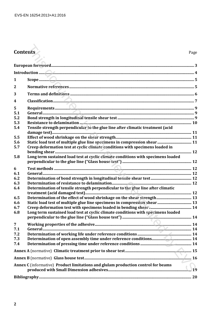# **Contents** Page

| <b>Contents</b>  |                                                                                   | Page |
|------------------|-----------------------------------------------------------------------------------|------|
|                  |                                                                                   |      |
|                  |                                                                                   |      |
|                  |                                                                                   |      |
| $\mathbf{1}$     |                                                                                   |      |
| $\mathbf{2}$     |                                                                                   |      |
| 3                |                                                                                   |      |
| $\boldsymbol{4}$ |                                                                                   |      |
| 5                |                                                                                   |      |
| 5.1              |                                                                                   |      |
| 5.2              |                                                                                   |      |
| 5.3              |                                                                                   |      |
| 5.4              | Tensile strength perpendicular to the glue line after climatic treatment (acid    |      |
| 5.5              |                                                                                   |      |
| 5.6              |                                                                                   |      |
| 5.7              | Creep deformation test at cyclic climate conditions with specimens loaded in      |      |
| 5.8              | Long term sustained load test at cyclic climate conditions with specimens loaded  |      |
| 6                |                                                                                   |      |
| 6.1              |                                                                                   |      |
| 6.2              |                                                                                   |      |
| 6.3              |                                                                                   |      |
| 6.4              | Determination of tensile strength perpendicular to the glue line after climatic   |      |
| 6.5              |                                                                                   |      |
| 6.6              |                                                                                   |      |
| 6.7              |                                                                                   |      |
|                  |                                                                                   |      |
| 6.8              | Long term sustained load test at cyclic climate conditions with specimens loaded  |      |
| 7                |                                                                                   |      |
| 7.1              |                                                                                   |      |
| 7.2              |                                                                                   |      |
| 7.3              |                                                                                   |      |
| 7.4              |                                                                                   |      |
|                  |                                                                                   |      |
|                  |                                                                                   |      |
|                  | Annex C (informative) Product limitations and glulam production control for beams |      |
|                  |                                                                                   |      |
|                  |                                                                                   |      |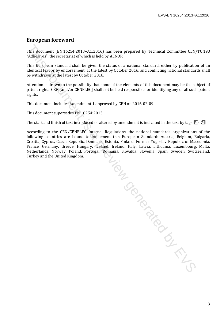### **European foreword**

This document (EN 16254:2013+A1:2016) has been prepared by Technical Committee CEN/TC 193 "Adhesives", the secretariat of which is held by AENOR.

This European Standard shall be given the status of a national standard, either by publication of an identical text or by endorsement, at the latest by October 2016, and conflicting national standards shall be withdrawn at the latest by October 2016.

Attention is drawn to the possibility that some of the elements of this document may be the subject of patent rights. CEN [and/or CENELEC] shall not be held responsible for identifying any or all such patent rights.

This document includes Amendment 1 approved by CEN on 2016-02-09.

This document supersedes EN 16254:2013.

The start and finish of text introduced or altered by amendment is indicated in the text by tags  $\ket{A}$ .

According to the CEN/CENELEC Internal Regulations, the national standards organizations of the following countries are bound to implement this European Standard: Austria, Belgium, Bulgaria, Croatia, Cyprus, Czech Republic, Denmark, Estonia, Finland, Former Yugoslav Republic of Macedonia, France, Germany, Greece, Hungary, Iceland, Ireland, Italy, Latvia, Lithuania, Luxembourg, Malta, Netherlands, Norway, Poland, Portugal, Romania, Slovakia, Slovenia, Spain, Sweden, Switzerland, Turkey and the United Kingdom.

This document is a preview generated by EVS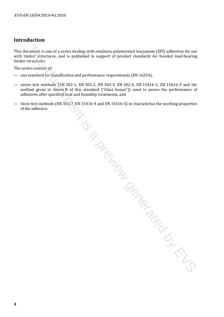## **Introduction**

This document is one of a series dealing with emulsion polymerised isocyanate (EPI) adhesives for use with timber structures, and is published in support of product standards for bonded load-bearing timber structures.

The series consists of:

- one standard for classification and performance requirements (EN 16254),
- seven test methods (EN 302-1, EN 302-2, EN 302-3, EN 302-4, EN 15416-2, EN 15416-3 and the method given in Annex B of this standard ("Glass house")) used to assess the performance of adhesives after specified heat and humidity treatments, and For the one of a series dealing with emulsion polymerised isocyanate (EPI) adhesives for used<br>smaller structures, and is published in support of product standards for bonded boad-braring<br>structures, exceptions of the stand
- three test methods (EN 302-7, EN 15416-4 and EN 15416-5) to characterise the working properties of the adhesive.

**4**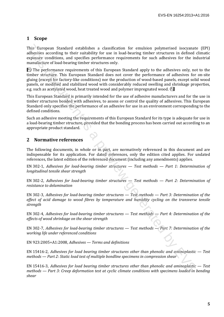### **1 Scope**

This European Standard establishes a classification for emulsion polymerised isocyanate (EPI) adhesives according to their suitability for use in load-bearing timber structures in defined climatic exposure conditions, and specifies performance requirements for such adhesives for the industrial manufacture of load-bearing timber structures only.

 $\overline{A_1}$ ) The performance requirements of this European Standard apply to the adhesives only, not to the timber structure. This European Standard does not cover the performance of adhesives for on-site gluing (except for factory-like conditions) nor the production of wood-based panels, except solid wood panels, or modified and stabilized wood with considerably reduced swelling and shrinkage properties, e.g. such as acetylated wood, heat treated wood and polymer impregnated wood.  $\overline{A_1}$ This Yaromann Standard establishes, a classification for emulation prolongation and the strained in the Structure in defined by a strained in the structure in defined by the strained interpretation of the prefirement cond

This European Standard is primarily intended for the use of adhesive manufacturers and for the use in timber structures bonded with adhesives, to assess or control the quality of adhesives. This European Standard only specifies the performance of an adhesive for use in an environment corresponding to the defined conditions.

Such an adhesive meeting the requirements of this European Standard for its type is adequate for use in a load-bearing timber structure, provided that the bonding process has been carried out according to an appropriate product standard.

### **2 Normative references**

The following documents, in whole or in part, are normatively referenced in this document and are indispensable for its application. For dated references, only the edition cited applies. For undated references, the latest edition of the referenced document (including any amendments) applies.

EN 302-1, *Adhesives for load-bearing timber structures — Test methods — Part 1: Determination of longitudinal tensile shear strength*

EN 302-2, *Adhesives for load-bearing timber structures — Test methods — Part 2: Determination of resistance to delamination*

EN 302-3, *Adhesives for load-bearing timber structures — Test methods — Part 3: Determination of the effect of acid damage to wood fibres by temperature and humidity cycling on the transverse tensile strength*

EN 302-4, *Adhesives for load-bearing timber structures — Test methods — Part 4: Determination of the effects of wood shrinkage on the shear strength*

EN 302-7, *Adhesives for load-bearing timber structures — Test methods — Part 7: Determination of the working life under referenced conditions*

EN 923:2005+A1:2008, *Adhesives — Terms and definitions*

EN 15416-2, *Adhesives for load bearing timber structures other than phenolic and aminoplastic — Test methods — Part 2: Static load test of multiple bondline specimens in compression shear*

EN 15416-3, *Adhesives for load bearing timber structures other than phenolic and aminoplastic — Test methods — Part 3: Creep deformation test at cyclic climate conditions with specimens loaded in bending shear*